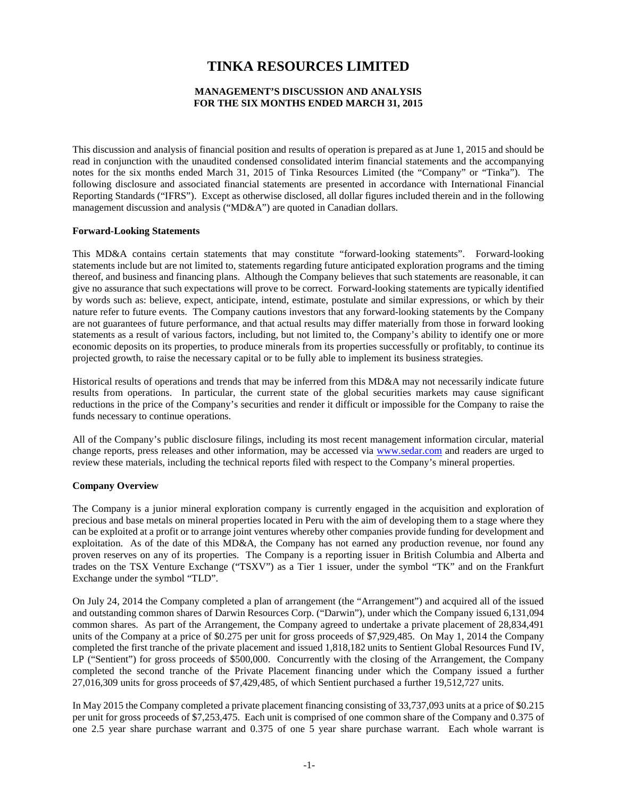# **TINKA RESOURCES LIMITED**

# **MANAGEMENT'S DISCUSSION AND ANALYSIS FOR THE SIX MONTHS ENDED MARCH 31, 2015**

This discussion and analysis of financial position and results of operation is prepared as at June 1, 2015 and should be read in conjunction with the unaudited condensed consolidated interim financial statements and the accompanying notes for the six months ended March 31, 2015 of Tinka Resources Limited (the "Company" or "Tinka"). The following disclosure and associated financial statements are presented in accordance with International Financial Reporting Standards ("IFRS"). Except as otherwise disclosed, all dollar figures included therein and in the following management discussion and analysis ("MD&A") are quoted in Canadian dollars.

#### **Forward-Looking Statements**

This MD&A contains certain statements that may constitute "forward-looking statements". Forward-looking statements include but are not limited to, statements regarding future anticipated exploration programs and the timing thereof, and business and financing plans. Although the Company believes that such statements are reasonable, it can give no assurance that such expectations will prove to be correct. Forward-looking statements are typically identified by words such as: believe, expect, anticipate, intend, estimate, postulate and similar expressions, or which by their nature refer to future events. The Company cautions investors that any forward-looking statements by the Company are not guarantees of future performance, and that actual results may differ materially from those in forward looking statements as a result of various factors, including, but not limited to, the Company's ability to identify one or more economic deposits on its properties, to produce minerals from its properties successfully or profitably, to continue its projected growth, to raise the necessary capital or to be fully able to implement its business strategies.

Historical results of operations and trends that may be inferred from this MD&A may not necessarily indicate future results from operations. In particular, the current state of the global securities markets may cause significant reductions in the price of the Company's securities and render it difficult or impossible for the Company to raise the funds necessary to continue operations.

All of the Company's public disclosure filings, including its most recent management information circular, material change reports, press releases and other information, may be accessed via [www.sedar.com](http://www.sedar.com/) and readers are urged to review these materials, including the technical reports filed with respect to the Company's mineral properties.

#### **Company Overview**

The Company is a junior mineral exploration company is currently engaged in the acquisition and exploration of precious and base metals on mineral properties located in Peru with the aim of developing them to a stage where they can be exploited at a profit or to arrange joint ventures whereby other companies provide funding for development and exploitation. As of the date of this MD&A, the Company has not earned any production revenue, nor found any proven reserves on any of its properties. The Company is a reporting issuer in British Columbia and Alberta and trades on the TSX Venture Exchange ("TSXV") as a Tier 1 issuer, under the symbol "TK" and on the Frankfurt Exchange under the symbol "TLD".

On July 24, 2014 the Company completed a plan of arrangement (the "Arrangement") and acquired all of the issued and outstanding common shares of Darwin Resources Corp. ("Darwin"), under which the Company issued 6,131,094 common shares. As part of the Arrangement, the Company agreed to undertake a private placement of 28,834,491 units of the Company at a price of \$0.275 per unit for gross proceeds of \$7,929,485. On May 1, 2014 the Company completed the first tranche of the private placement and issued 1,818,182 units to Sentient Global Resources Fund IV, LP ("Sentient") for gross proceeds of \$500,000. Concurrently with the closing of the Arrangement, the Company completed the second tranche of the Private Placement financing under which the Company issued a further 27,016,309 units for gross proceeds of \$7,429,485, of which Sentient purchased a further 19,512,727 units.

In May 2015 the Company completed a private placement financing consisting of 33,737,093 units at a price of \$0.215 per unit for gross proceeds of \$7,253,475. Each unit is comprised of one common share of the Company and 0.375 of one 2.5 year share purchase warrant and 0.375 of one 5 year share purchase warrant. Each whole warrant is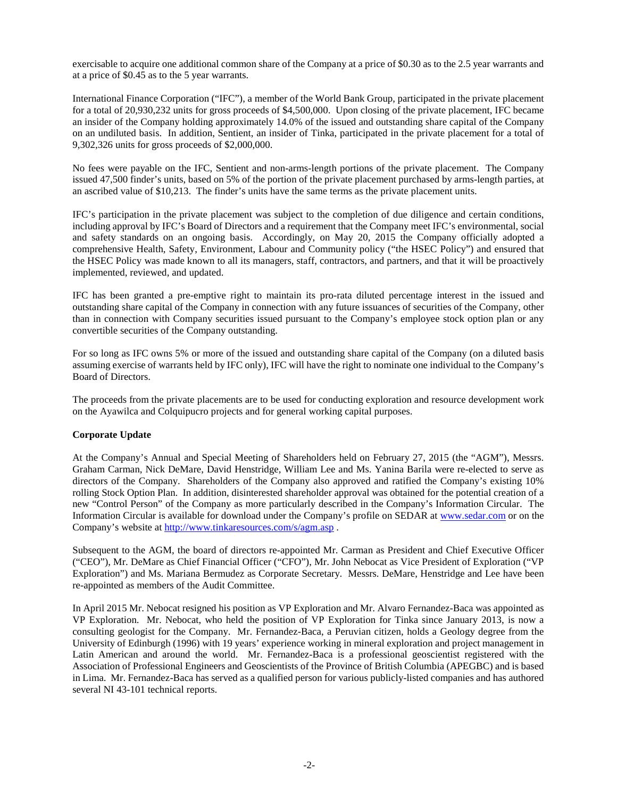exercisable to acquire one additional common share of the Company at a price of \$0.30 as to the 2.5 year warrants and at a price of \$0.45 as to the 5 year warrants.

International Finance Corporation ("IFC"), a member of the World Bank Group, participated in the private placement for a total of 20,930,232 units for gross proceeds of \$4,500,000. Upon closing of the private placement, IFC became an insider of the Company holding approximately 14.0% of the issued and outstanding share capital of the Company on an undiluted basis. In addition, Sentient, an insider of Tinka, participated in the private placement for a total of 9,302,326 units for gross proceeds of \$2,000,000.

No fees were payable on the IFC, Sentient and non-arms-length portions of the private placement. The Company issued 47,500 finder's units, based on 5% of the portion of the private placement purchased by arms-length parties, at an ascribed value of \$10,213. The finder's units have the same terms as the private placement units.

IFC's participation in the private placement was subject to the completion of due diligence and certain conditions, including approval by IFC's Board of Directors and a requirement that the Company meet IFC's environmental, social and safety standards on an ongoing basis. Accordingly, on May 20, 2015 the Company officially adopted a comprehensive Health, Safety, Environment, Labour and Community policy ("the HSEC Policy") and ensured that the HSEC Policy was made known to all its managers, staff, contractors, and partners, and that it will be proactively implemented, reviewed, and updated.

IFC has been granted a pre-emptive right to maintain its pro-rata diluted percentage interest in the issued and outstanding share capital of the Company in connection with any future issuances of securities of the Company, other than in connection with Company securities issued pursuant to the Company's employee stock option plan or any convertible securities of the Company outstanding.

For so long as IFC owns 5% or more of the issued and outstanding share capital of the Company (on a diluted basis assuming exercise of warrants held by IFC only), IFC will have the right to nominate one individual to the Company's Board of Directors.

The proceeds from the private placements are to be used for conducting exploration and resource development work on the Ayawilca and Colquipucro projects and for general working capital purposes.

# **Corporate Update**

At the Company's Annual and Special Meeting of Shareholders held on February 27, 2015 (the "AGM"), Messrs. Graham Carman, Nick DeMare, David Henstridge, William Lee and Ms. Yanina Barila were re-elected to serve as directors of the Company. Shareholders of the Company also approved and ratified the Company's existing 10% rolling Stock Option Plan. In addition, disinterested shareholder approval was obtained for the potential creation of a new "Control Person" of the Company as more particularly described in the Company's Information Circular. The Information Circular is available for download under the Company's profile on SEDAR at [www.sedar.com](http://www.sedar.com/) or on the Company's website at<http://www.tinkaresources.com/s/agm.asp> .

Subsequent to the AGM, the board of directors re-appointed Mr. Carman as President and Chief Executive Officer ("CEO"), Mr. DeMare as Chief Financial Officer ("CFO"), Mr. John Nebocat as Vice President of Exploration ("VP Exploration") and Ms. Mariana Bermudez as Corporate Secretary. Messrs. DeMare, Henstridge and Lee have been re-appointed as members of the Audit Committee.

In April 2015 Mr. Nebocat resigned his position as VP Exploration and Mr. Alvaro Fernandez-Baca was appointed as VP Exploration. Mr. Nebocat, who held the position of VP Exploration for Tinka since January 2013, is now a consulting geologist for the Company. Mr. Fernandez-Baca, a Peruvian citizen, holds a Geology degree from the University of Edinburgh (1996) with 19 years' experience working in mineral exploration and project management in Latin American and around the world. Mr. Fernandez-Baca is a professional geoscientist registered with the Association of Professional Engineers and Geoscientists of the Province of British Columbia (APEGBC) and is based in Lima. Mr. Fernandez-Baca has served as a qualified person for various publicly-listed companies and has authored several NI 43-101 technical reports.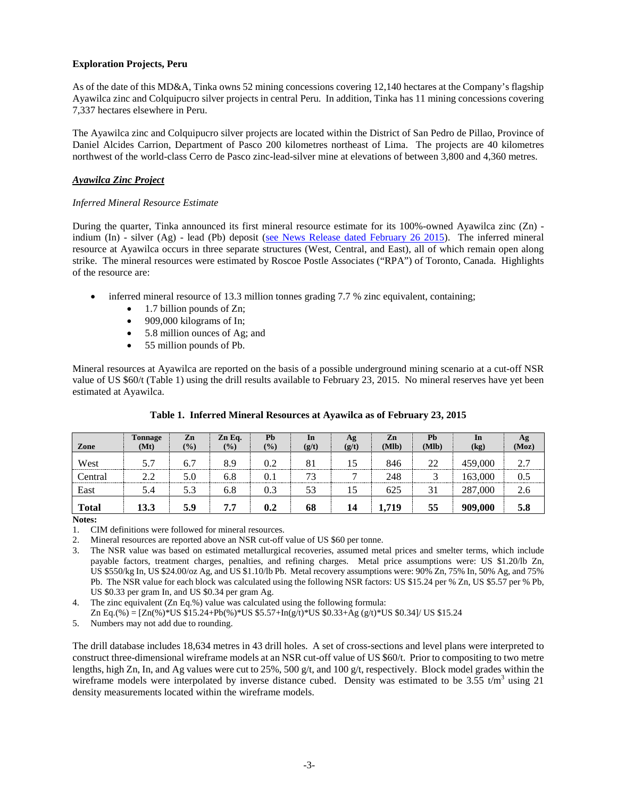# **Exploration Projects, Peru**

As of the date of this MD&A, Tinka owns 52 mining concessions covering 12,140 hectares at the Company's flagship Ayawilca zinc and Colquipucro silver projects in central Peru. In addition, Tinka has 11 mining concessions covering 7,337 hectares elsewhere in Peru.

The Ayawilca zinc and Colquipucro silver projects are located within the District of San Pedro de Pillao, Province of Daniel Alcides Carrion, Department of Pasco 200 kilometres northeast of Lima. The projects are 40 kilometres northwest of the world-class Cerro de Pasco zinc-lead-silver mine at elevations of between 3,800 and 4,360 metres.

# *Ayawilca Zinc Project*

## *Inferred Mineral Resource Estimate*

During the quarter, Tinka announced its first mineral resource estimate for its 100%-owned Ayawilca zinc (Zn) indium (In) - silver (Ag) - lead (Pb) deposit (see News Release [dated February 26 2015\)](http://www.tinkaresources.com/s/NewsReleases.asp?ReportID=697874&_Type=News&_Title=Tinka-Announces-Initial-Inferred-Zinc-Resource-of-13.3-Million-Tonnes-Gradi...). The inferred mineral resource at Ayawilca occurs in three separate structures (West, Central, and East), all of which remain open along strike. The mineral resources were estimated by Roscoe Postle Associates ("RPA") of Toronto, Canada. Highlights of the resource are:

- inferred mineral resource of 13.3 million tonnes grading 7.7 % zinc equivalent, containing;
	- 1.7 billion pounds of Zn;
	- 909,000 kilograms of In;
	- 5.8 million ounces of Ag; and
	- 55 million pounds of Pb.

Mineral resources at Ayawilca are reported on the basis of a possible underground mining scenario at a cut-off NSR value of US \$60/t (Table 1) using the drill results available to February 23, 2015. No mineral reserves have yet been estimated at Ayawilca.

| Zone         | <b>Tonnage</b><br>(Mt) | Zn<br>(%) | Zn Eq.<br>(%) | Pb<br>$(\%)$ | <b>In</b><br>(g/t) | Ag<br>(g/t) | Zn<br>(Mlb) | Pb<br>(Mlb) | In<br>(kg) | Ag<br>(Moz) |
|--------------|------------------------|-----------|---------------|--------------|--------------------|-------------|-------------|-------------|------------|-------------|
| West         | 5.7                    | 6.7       | 8.9           | 0.2          | 81                 | 15          | 846         | 22          | 459,000    | 2.7         |
| Central      | 2.2                    | 5.0       | 6.8           | 0. .         | 73                 |             | 248         |             | 163.000    | 0.5         |
| East         | 5.4                    | 5.3       | 6.8           | 0.3          | 53                 | 15          | 625         | 31          | 287,000    | 2.6         |
| <b>Total</b> | 13.3                   | 5.9       | 7.7           | 0.2          | 68                 | 14          | 1.719       | 55          | 909.000    | 5.8         |

# **Table 1. Inferred Mineral Resources at Ayawilca as of February 23, 2015**

**Notes:**

1. CIM definitions were followed for mineral resources.

2. Mineral resources are reported above an NSR cut-off value of US \$60 per tonne.

3. The NSR value was based on estimated metallurgical recoveries, assumed metal prices and smelter terms, which include payable factors, treatment charges, penalties, and refining charges. Metal price assumptions were: US \$1.20/lb Zn, US \$550/kg In, US \$24.00/oz Ag, and US \$1.10/lb Pb. Metal recovery assumptions were: 90% Zn, 75% In, 50% Ag, and 75% Pb. The NSR value for each block was calculated using the following NSR factors: US \$15.24 per % Zn, US \$5.57 per % Pb, US \$0.33 per gram In, and US \$0.34 per gram Ag.

Zn Eq.(%) = [Zn(%)\*US \$15.24+Pb(%)\*US \$5.57+In(g/t)\*US \$0.33+Ag (g/t)\*US \$0.34]/ US \$15.24

5. Numbers may not add due to rounding.

The drill database includes 18,634 metres in 43 drill holes. A set of cross-sections and level plans were interpreted to construct three-dimensional wireframe models at an NSR cut-off value of US \$60/t. Prior to compositing to two metre lengths, high Zn, In, and Ag values were cut to 25%, 500 g/t, and 100 g/t, respectively. Block model grades within the wireframe models were interpolated by inverse distance cubed. Density was estimated to be 3.55  $t/m<sup>3</sup>$  using 21 density measurements located within the wireframe models.

<sup>4.</sup> The zinc equivalent (Zn Eq.%) value was calculated using the following formula: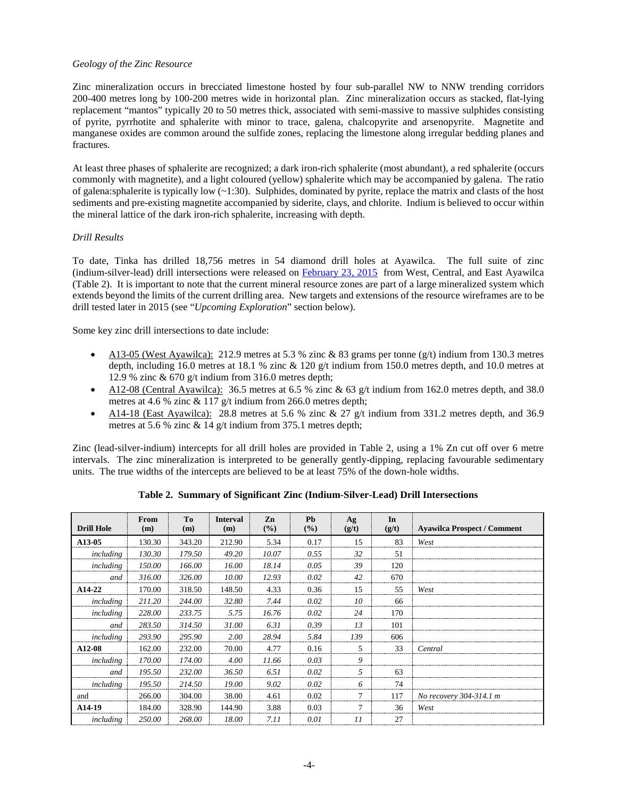# *Geology of the Zinc Resource*

Zinc mineralization occurs in brecciated limestone hosted by four sub-parallel NW to NNW trending corridors 200-400 metres long by 100-200 metres wide in horizontal plan. Zinc mineralization occurs as stacked, flat-lying replacement "mantos" typically 20 to 50 metres thick, associated with semi-massive to massive sulphides consisting of pyrite, pyrrhotite and sphalerite with minor to trace, galena, chalcopyrite and arsenopyrite. Magnetite and manganese oxides are common around the sulfide zones, replacing the limestone along irregular bedding planes and fractures.

At least three phases of sphalerite are recognized; a dark iron-rich sphalerite (most abundant), a red sphalerite (occurs commonly with magnetite), and a light coloured (yellow) sphalerite which may be accompanied by galena. The ratio of galena: sphalerite is typically low  $(-1:30)$ . Sulphides, dominated by pyrite, replace the matrix and clasts of the host sediments and pre-existing magnetite accompanied by siderite, clays, and chlorite. Indium is believed to occur within the mineral lattice of the dark iron-rich sphalerite, increasing with depth.

## *Drill Results*

To date, Tinka has drilled 18,756 metres in 54 diamond drill holes at Ayawilca. The full suite of zinc (indium-silver-lead) drill intersections were released on [February 23, 2015](http://www.tinkaresources.com/s/NewsReleases.asp?ReportID=697083&_Type=News&_Title=Tinka-Confirms-Indium-With-Zinc-Mineralization-At-Ayawilca-Peru) from West, Central, and East Ayawilca (Table 2). It is important to note that the current mineral resource zones are part of a large mineralized system which extends beyond the limits of the current drilling area. New targets and extensions of the resource wireframes are to be drill tested later in 2015 (see "*Upcoming Exploration*" section below).

Some key zinc drill intersections to date include:

- A13-05 (West Ayawilca): 212.9 metres at 5.3 % zinc & 83 grams per tonne  $(g/t)$  indium from 130.3 metres depth, including 16.0 metres at 18.1 % zinc & 120 g/t indium from 150.0 metres depth, and 10.0 metres at 12.9 % zinc  $\&$  670 g/t indium from 316.0 metres depth;
- A12-08 (Central Ayawilca): 36.5 metres at 6.5 % zinc & 63 g/t indium from 162.0 metres depth, and 38.0 metres at 4.6 % zinc & 117 g/t indium from 266.0 metres depth;
- A14-18 (East Ayawilca): 28.8 metres at 5.6 % zinc & 27  $g/t$  indium from 331.2 metres depth, and 36.9 metres at 5.6 % zinc & 14 g/t indium from 375.1 metres depth;

Zinc (lead-silver-indium) intercepts for all drill holes are provided in Table 2, using a 1% Zn cut off over 6 metre intervals. The zinc mineralization is interpreted to be generally gently-dipping, replacing favourable sedimentary units. The true widths of the intercepts are believed to be at least 75% of the down-hole widths.

| <b>Drill Hole</b>   | From<br>(m) | To<br>(m) | <b>Interval</b><br>(m) | Zn<br>$($ %) | <b>Ph</b><br>$($ %) | Ag<br>(g/t) | In<br>(g/t) | <b>Ayawilca Prospect / Comment</b> |
|---------------------|-------------|-----------|------------------------|--------------|---------------------|-------------|-------------|------------------------------------|
| A <sub>13</sub> -05 | 130.30      | 343.20    | 212.90                 | 5.34         | 0.17                | 15          | 83          | West                               |
| including           | 130.30      | 179.50    | 49.20                  | 10.07        | 0.55                | 32          | 51          |                                    |
| including           | 150.00      | 166.00    | 16.00                  | 18.14        | 0.05                | 39          | 120         |                                    |
| and                 | 316.00      | 326.00    | 10.00                  | 12.93        | 0.02                | 42          | 670         |                                    |
| A14-22              | 170.00      | 318.50    | 148.50                 | 4.33         | 0.36                | 15          | 55          | West                               |
| including           | 211.20      | 244.00    | 32.80                  | 7.44         | 0.02                | 10          | 66          |                                    |
| including           | 228.00      | 233.75    | 5.75                   | 16.76        | 0.02                | 24          | 170         |                                    |
| and                 | 283.50      | 314.50    | 31.00                  | 6.31         | 0.39                | 13          | 101         |                                    |
| including           | 293.90      | 295.90    | 2.00                   | 28.94        | 5.84                | 139         | 606         |                                    |
| A <sub>12</sub> -08 | 162.00      | 232.00    | 70.00                  | 4.77         | 0.16                | 5.          | 33          | Central                            |
| including           | 170.00      | 174.00    | 4.00                   | 11.66        | 0.03                | 9           |             |                                    |
| and                 | 195.50      | 232.00    | 36.50                  | 6.51         | 0.02                | 5           | 63          |                                    |
| including           | 195.50      | 214.50    | 19.00                  | 9.02         | 0.02                | 6           | 74          |                                    |
| and                 | 266.00      | 304.00    | 38.00                  | 4.61         | 0.02                | 7           | 117         | No recovery 304-314.1 m            |
| A <sub>14</sub> -19 | 184.00      | 328.90    | 144.90                 | 3.88         | 0.03                | $\tau$      | 36          | West                               |
| including           | 250.00      | 268.00    | 18.00                  | 7.11         | 0.01                | 11          | 27          |                                    |

**Table 2. Summary of Significant Zinc (Indium-Silver-Lead) Drill Intersections**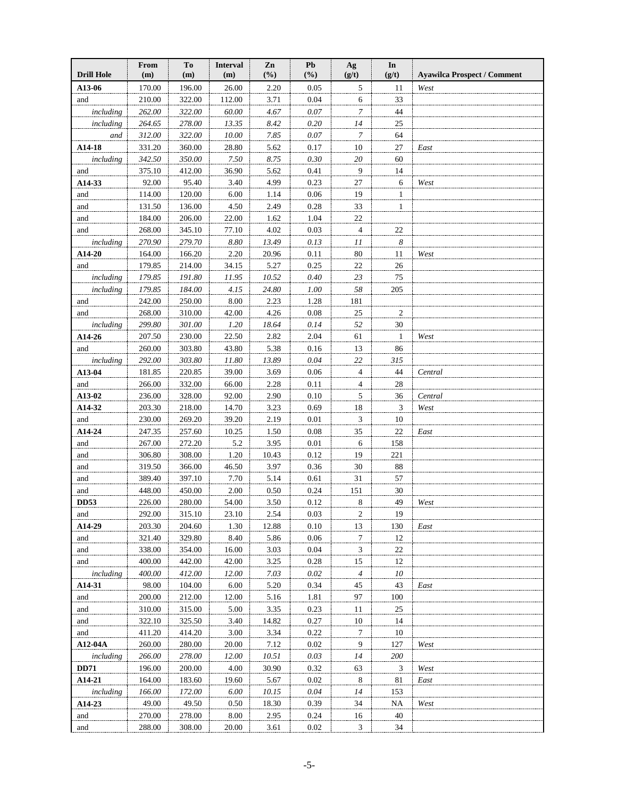| <b>Drill Hole</b> | From<br>(m) | To<br>(m) | <b>Interval</b><br>(m) | Zn<br>(%) | Pb<br>(%) | Ag<br>(g/t)    | In<br>(g/t)    | <b>Ayawilca Prospect / Comment</b> |
|-------------------|-------------|-----------|------------------------|-----------|-----------|----------------|----------------|------------------------------------|
| A13-06            | 170.00      | 196.00    | 26.00                  | 2.20      | 0.05      | 5              | 11             | West                               |
| and               | 210.00      | 322.00    | 112.00                 | 3.71      | 0.04      | 6              | 33             |                                    |
| including         | 262.00      | 322.00    | 60.00                  | 4.67      | 0.07      | 7              | 44             |                                    |
| including         | 264.65      | 278.00    | 13.35                  | 8.42      | 0.20      | 14             | 25             |                                    |
| and               | 312.00      | 322.00    | 10.00                  | 7.85      | 0.07      | 7              | 64             |                                    |
| $A14-18$          | 331.20      | 360.00    | 28.80                  | 5.62      | 0.17      | 10             | 27             | East                               |
| including         | 342.50      | 350.00    | 7.50                   | 8.75      | 0.30      | 20             | 60             |                                    |
| and               | 375.10      | 412.00    | 36.90                  | 5.62      | 0.41      | 9              | 14             |                                    |
| A14-33            | 92.00       | 95.40     | 3.40                   | 4.99      | 0.23      | 27             | 6              | West                               |
| and               | 114.00      | 120.00    | 6.00                   | 1.14      | 0.06      | 19             | $\mathbf{1}$   |                                    |
| and               | 131.50      | 136.00    | 4.50                   | 2.49      | 0.28      | 33             | $\mathbf{1}$   |                                    |
| and               | 184.00      | 206.00    | 22.00                  | 1.62      | 1.04      | 22             |                |                                    |
| and               | 268.00      | 345.10    | 77.10                  | 4.02      | 0.03      | $\overline{4}$ | 22             |                                    |
| including         | 270.90      | 279.70    | 8.80                   | 13.49     | 0.13      | 11             | 8              |                                    |
| A14-20            | 164.00      | 166.20    | 2.20                   | 20.96     | 0.11      | 80             | 11             | West                               |
| and               | 179.85      | 214.00    | 34.15                  | 5.27      | 0.25      | 22             | 26             |                                    |
| including         | 179.85      | 191.80    | 11.95                  | 10.52     | 0.40      | 23             | 75             |                                    |
| including         | 179.85      | 184.00    | 4.15                   | 24.80     | 1.00      | 58             | 205            |                                    |
| and               | 242.00      | 250.00    | 8.00                   | 2.23      | 1.28      | 181            |                |                                    |
| and               | 268.00      | 310.00    | 42.00                  | 4.26      | 0.08      | 25             | $\overline{c}$ |                                    |
| including         | 299.80      | 301.00    | 1.20                   | 18.64     | 0.14      | 52             | $30\,$         |                                    |
| A14-26            | 207.50      | 230.00    | 22.50                  | 2.82      | 2.04      | 61             | $\mathbf{1}$   | West                               |
| and               | 260.00      | 303.80    | 43.80                  | 5.38      | 0.16      | 13             | 86             |                                    |
| including         | 292.00      | 303.80    | 11.80                  | 13.89     | 0.04      | 22             | 315            |                                    |
| A13-04            | 181.85      | 220.85    | 39.00                  | 3.69      | 0.06      | 4              | 44             | Central                            |
| and               | 266.00      | 332.00    | 66.00                  | 2.28      | 0.11      | 4              | 28             |                                    |
| A13-02            | 236.00      | 328.00    | 92.00                  | 2.90      | 0.10      | 5              | 36             | Central                            |
| A14-32            | 203.30      | 218.00    | 14.70                  | 3.23      | 0.69      | 18             | 3              | West                               |
| and               | 230.00      | 269.20    | 39.20                  | 2.19      | 0.01      | 3              | 10             |                                    |
| A14-24            | 247.35      | 257.60    | 10.25                  | 1.50      | 0.08      | 35             | 22             | East                               |
| and               | 267.00      | 272.20    | 5.2                    | 3.95      | 0.01      | 6              | 158            |                                    |
| and               | 306.80      | 308.00    | 1.20                   | 10.43     | 0.12      | 19             | 221            |                                    |
| and               | 319.50      | 366.00    | 46.50                  | 3.97      | 0.36      | 30             | 88             |                                    |
| and               | 389.40      | 397.10    | 7.70                   | 5.14      | 0.61      | 31             | 57             |                                    |
| and               | 448.00      | 450.00    | 2.00                   | 0.50      | 0.24      | 151            | 30             |                                    |
| <b>DD53</b>       | 226.00      | 280.00    | 54.00                  | 3.50      | 0.12      | 8              | 49             | West                               |
| and               | 292.00      | 315.10    | 23.10                  | 2.54      | 0.03      | $\overline{2}$ | 19             |                                    |
| A14-29            | 203.30      | 204.60    | 1.30                   | 12.88     | 0.10      | 13             | 130            | East                               |
| and               | 321.40      | 329.80    | 8.40                   | 5.86      | 0.06      | $\tau$         | 12             |                                    |
| and               | 338.00      | 354.00    | 16.00                  | 3.03      | 0.04      | 3              | 22             |                                    |
| and               | 400.00      | 442.00    | 42.00                  | 3.25      | 0.28      | 15             | 12             |                                    |
| including         | 400.00      | 412.00    | 12.00                  | 7.03      | 0.02      | $\overline{4}$ | 10             |                                    |
| A14-31            | 98.00       | 104.00    | 6.00                   | 5.20      | 0.34      | 45             | 43             | East                               |
| and               | 200.00      | 212.00    | 12.00                  | 5.16      | 1.81      | 97             | 100            |                                    |
| and               | 310.00      | 315.00    | 5.00                   | 3.35      | 0.23      | 11             | 25             |                                    |
| and               | 322.10      | 325.50    | 3.40                   | 14.82     | 0.27      | 10             | 14             |                                    |
| and               | 411.20      | 414.20    | 3.00                   | 3.34      | 0.22      | 7              | 10             |                                    |
| A12-04A           | 260.00      | 280.00    | 20.00                  | 7.12      | 0.02      | 9              | 127            | West                               |
| including         | 266.00      | 278.00    | 12.00                  | 10.51     | 0.03      | 14             | <i>200</i>     |                                    |
| <b>DD71</b>       | 196.00      | 200.00    | 4.00                   | 30.90     | 0.32      | 63             | 3              | West                               |
| A14-21            | 164.00      | 183.60    | 19.60                  | 5.67      | 0.02      | 8              | 81             | East                               |
| including         | 166.00      | 172.00    | 6.00                   | 10.15     | 0.04      | 14             | 153            |                                    |
| A14-23            | 49.00       | 49.50     | 0.50                   | 18.30     | 0.39      | 34             | NA             | West                               |
| and               | 270.00      | 278.00    | 8.00                   | 2.95      | 0.24      | 16             | 40             |                                    |
| and               | 288.00      | 308.00    | 20.00                  | 3.61      | 0.02      | 3              | 34             |                                    |
|                   |             |           |                        |           |           |                |                |                                    |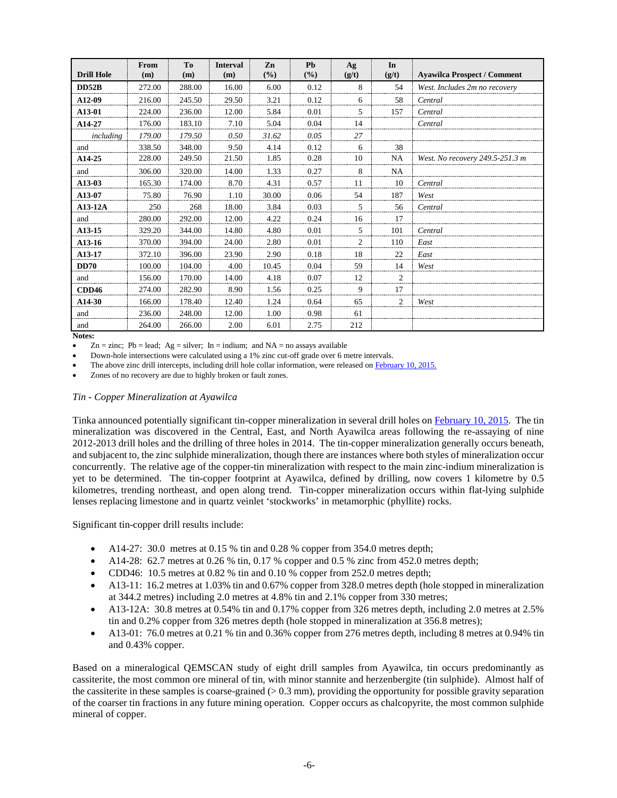| <b>Drill Hole</b> | From<br>(m) | T <sub>0</sub><br>(m) | <b>Interval</b><br>(m) | Zn<br>(%) | Ph<br>(%) | Ag<br>(g/t) | In<br>(g/t)    | <b>Ayawilca Prospect / Comment</b> |
|-------------------|-------------|-----------------------|------------------------|-----------|-----------|-------------|----------------|------------------------------------|
| <b>DD52B</b>      | 272.00      | 288.00                | 16.00                  | 6.00      | 0.12      | 8           | 54             | West. Includes 2m no recovery      |
| A12-09            | 216.00      | 245.50                | 29.50                  | 3.21      | 0.12      | 6           | 58             | Central                            |
| A13-01            | 224.00      | 236.00                | 12.00                  | 5.84      | 0.01      | 5.          | 157            | Central                            |
| A14-27            | 176.00      | 183.10                | 7.10                   | 5.04      | 0.04      | 14          |                | Central                            |
| including         | 179.00      | 179.50                | 0.50                   | 31.62     | 0.05      | 27          |                |                                    |
| and               | 338.50      | 348.00                | 9.50                   | 4.14      | 0.12      | 6           | 38             |                                    |
| A14-25            | 228.00      | 249.50                | 21.50                  | 1.85      | 0.28      | 10          | NA             | West. No recovery 249.5-251.3 m    |
| and               | 306.00      | 320.00                | 14.00                  | 1.33      | 0.27      | 8           | NA             |                                    |
| A13-03            | 165.30      | 174.00                | 8.70                   | 4.31      | 0.57      | 11          | 10             | Central                            |
| A13-07            | 75.80       | 76.90                 | 1.10                   | 30.00     | 0.06      | 54          | 187            | West                               |
| $A13-12A$         | 250         | 268                   | 18.00                  | 3.84      | 0.03      | 5           | 56             | Central                            |
| and               | 280.00      | 292.00                | 12.00                  | 4.22      | 0.24      | 16          | 17             |                                    |
| A13-15            | 329.20      | 344.00                | 14.80                  | 4.80      | 0.01      | 5           | 101            | Central                            |
| A13-16            | 370.00      | 394.00                | 24.00                  | 2.80      | 0.01      | 2           | 110            | East                               |
| A13-17            | 372.10      | 396.00                | 23.90                  | 2.90      | 0.18      | 18          | 22             | East                               |
| <b>DD70</b>       | 100.00      | 104.00                | 4.00                   | 10.45     | 0.04      | 59          | 14             | West                               |
| and               | 156.00      | 170.00                | 14.00                  | 4.18      | 0.07      | 12          | $\overline{2}$ |                                    |
| CDD46             | 274.00      | 282.90                | 8.90                   | 1.56      | 0.25      | 9           | 17             |                                    |
| A14-30            | 166.00      | 178.40                | 12.40                  | 1.24      | 0.64      | 65          | 2              | West                               |
| and               | 236.00      | 248.00                | 12.00                  | 1.00      | 0.98      | 61          |                |                                    |
| and               | 264.00      | 266.00                | 2.00                   | 6.01      | 2.75      | 212         |                |                                    |

#### **Notes:**

 $Zn = \text{zinc}$ ; Pb = lead; Ag = silver; In = indium; and NA = no assays available

• Down-hole intersections were calculated using a 1% zinc cut-off grade over 6 metre intervals.

The above zinc drill intercepts, including drill hole collar information, were released on **February 10, 2015.** 

Zones of no recovery are due to highly broken or fault zones.

#### *Tin - Copper Mineralization at Ayawilca*

Tinka announced potentially significant tin-copper mineralization in several drill holes o[n February 10, 2015.](http://www.tinkaresources.com/s/NewsReleases.asp?ReportID=695699&_Type=News&_Title=Tinka-Expands-Zinc-Tin-Copper-Mineralization-At-Ayawilca-Peru) The tin mineralization was discovered in the Central, East, and North Ayawilca areas following the re-assaying of nine 2012-2013 drill holes and the drilling of three holes in 2014. The tin-copper mineralization generally occurs beneath, and subjacent to, the zinc sulphide mineralization, though there are instances where both styles of mineralization occur concurrently. The relative age of the copper-tin mineralization with respect to the main zinc-indium mineralization is yet to be determined. The tin-copper footprint at Ayawilca, defined by drilling, now covers 1 kilometre by 0.5 kilometres, trending northeast, and open along trend. Tin-copper mineralization occurs within flat-lying sulphide lenses replacing limestone and in quartz veinlet 'stockworks' in metamorphic (phyllite) rocks.

Significant tin-copper drill results include:

- A14-27: 30.0 metres at 0.15 % tin and 0.28 % copper from 354.0 metres depth;
- A14-28: 62.7 metres at 0.26 % tin, 0.17 % copper and 0.5 % zinc from 452.0 metres depth;
- CDD46: 10.5 metres at 0.82 % tin and 0.10 % copper from 252.0 metres depth;
- A13-11: 16.2 metres at 1.03% tin and 0.67% copper from 328.0 metres depth (hole stopped in mineralization at 344.2 metres) including 2.0 metres at 4.8% tin and 2.1% copper from 330 metres;
- A13-12A: 30.8 metres at 0.54% tin and 0.17% copper from 326 metres depth, including 2.0 metres at 2.5% tin and 0.2% copper from 326 metres depth (hole stopped in mineralization at 356.8 metres);
- A13-01: 76.0 metres at 0.21 % tin and 0.36% copper from 276 metres depth, including 8 metres at 0.94% tin and 0.43% copper.

Based on a mineralogical QEMSCAN study of eight drill samples from Ayawilca, tin occurs predominantly as cassiterite, the most common ore mineral of tin, with minor stannite and herzenbergite (tin sulphide). Almost half of the cassiterite in these samples is coarse-grained  $(> 0.3 \text{ mm})$ , providing the opportunity for possible gravity separation of the coarser tin fractions in any future mining operation. Copper occurs as chalcopyrite, the most common sulphide mineral of copper.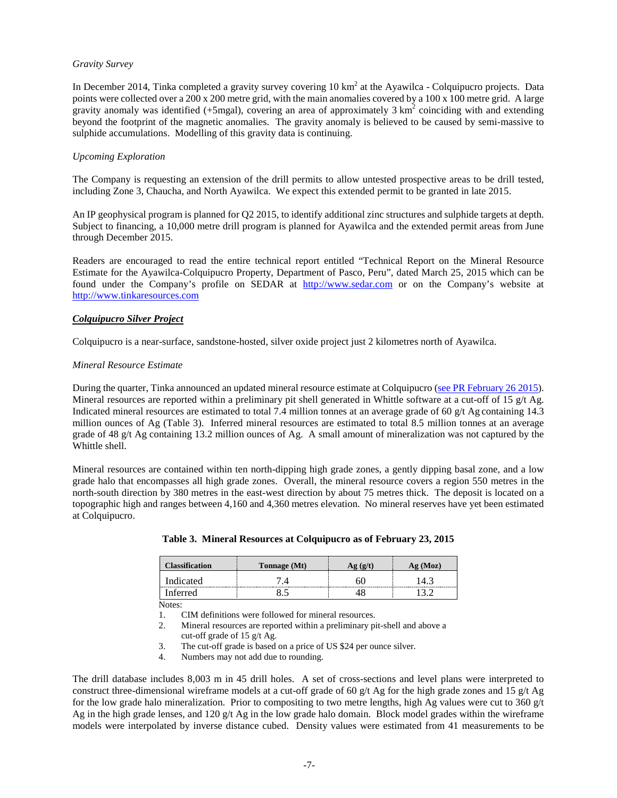## *Gravity Survey*

In December 2014, Tinka completed a gravity survey covering 10 km<sup>2</sup> at the Ayawilca - Colquipucro projects. Data points were collected over a 200 x 200 metre grid, with the main anomalies covered by a 100 x 100 metre grid. A large gravity anomaly was identified (+5mgal), covering an area of approximately  $3 \text{ km}^2$  coinciding with and extending beyond the footprint of the magnetic anomalies. The gravity anomaly is believed to be caused by semi-massive to sulphide accumulations. Modelling of this gravity data is continuing.

## *Upcoming Exploration*

The Company is requesting an extension of the drill permits to allow untested prospective areas to be drill tested, including Zone 3, Chaucha, and North Ayawilca. We expect this extended permit to be granted in late 2015.

An IP geophysical program is planned for Q2 2015, to identify additional zinc structures and sulphide targets at depth. Subject to financing, a 10,000 metre drill program is planned for Ayawilca and the extended permit areas from June through December 2015.

Readers are encouraged to read the entire technical report entitled "Technical Report on the Mineral Resource Estimate for the Ayawilca-Colquipucro Property, Department of Pasco, Peru", dated March 25, 2015 which can be found under the Company's profile on SEDAR at [http://www.sedar.com](http://www.sedar.com/) or on the Company's website at [http://www.tinkaresources.com](http://www.tinkaresources.com/)

## *Colquipucro Silver Project*

Colquipucro is a near-surface, sandstone-hosted, silver oxide project just 2 kilometres north of Ayawilca.

#### *Mineral Resource Estimate*

During the quarter, Tinka announced an updated mineral resource estimate at Colquipucro [\(see PR February 26 2015\)](http://www.tinkaresources.com/s/NewsReleases.asp?ReportID=697874&_Type=News&_Title=Tinka-Announces-Initial-Inferred-Zinc-Resource-of-13.3-Million-Tonnes-Gradi...). Mineral resources are reported within a preliminary pit shell generated in Whittle software at a cut-off of 15  $g/t$  Ag. Indicated mineral resources are estimated to total 7.4 million tonnes at an average grade of 60  $g/t$  Ag containing 14.3 million ounces of Ag (Table 3). Inferred mineral resources are estimated to total 8.5 million tonnes at an average grade of 48 g/t Ag containing 13.2 million ounces of Ag. A small amount of mineralization was not captured by the Whittle shell.

Mineral resources are contained within ten north-dipping high grade zones, a gently dipping basal zone, and a low grade halo that encompasses all high grade zones. Overall, the mineral resource covers a region 550 metres in the north-south direction by 380 metres in the east-west direction by about 75 metres thick. The deposit is located on a topographic high and ranges between 4,160 and 4,360 metres elevation. No mineral reserves have yet been estimated at Colquipucro.

| Classification | <b>Tonnage</b> (Mt) | g (Moz) |
|----------------|---------------------|---------|
| Indicated      |                     |         |
| 'nterred       |                     |         |

#### **Table 3. Mineral Resources at Colquipucro as of February 23, 2015**

Notes:

1. CIM definitions were followed for mineral resources.

- 2. Mineral resources are reported within a preliminary pit-shell and above a cut-off grade of 15 g/t Ag.
- 3. The cut-off grade is based on a price of US \$24 per ounce silver.
- 4. Numbers may not add due to rounding.

The drill database includes 8,003 m in 45 drill holes. A set of cross-sections and level plans were interpreted to construct three-dimensional wireframe models at a cut-off grade of 60 g/t Ag for the high grade zones and 15 g/t Ag for the low grade halo mineralization. Prior to compositing to two metre lengths, high Ag values were cut to  $360 \text{ g/t}$ Ag in the high grade lenses, and 120 g/t Ag in the low grade halo domain. Block model grades within the wireframe models were interpolated by inverse distance cubed. Density values were estimated from 41 measurements to be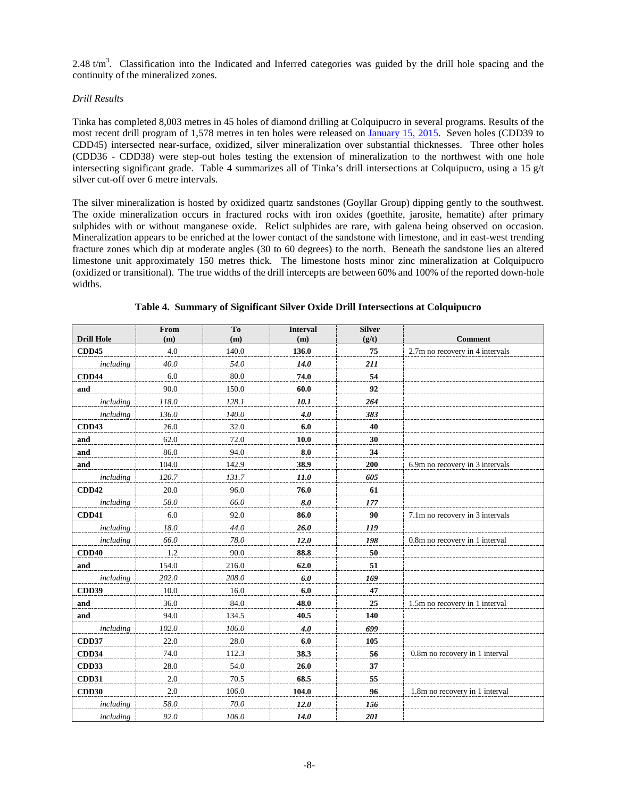2.48 t/m<sup>3</sup>. Classification into the Indicated and Inferred categories was guided by the drill hole spacing and the continuity of the mineralized zones.

## *Drill Results*

Tinka has completed 8,003 metres in 45 holes of diamond drilling at Colquipucro in several programs. Results of the most recent drill program of 1,578 metres in ten holes were released on [January 15, 2015.](http://www.tinkaresources.com/s/NewsReleases.asp?ReportID=691218&_Type=News&_Title=Tinka-Announces-Results-Of-1600-Metre-Ten-Hole-Drill-Program-At-Colquipucro...) Seven holes (CDD39 to CDD45) intersected near-surface, oxidized, silver mineralization over substantial thicknesses. Three other holes (CDD36 - CDD38) were step-out holes testing the extension of mineralization to the northwest with one hole intersecting significant grade. Table 4 summarizes all of Tinka's drill intersections at Colquipucro, using a 15 g/t silver cut-off over 6 metre intervals.

The silver mineralization is hosted by oxidized quartz sandstones (Goyllar Group) dipping gently to the southwest. The oxide mineralization occurs in fractured rocks with iron oxides (goethite, jarosite, hematite) after primary sulphides with or without manganese oxide. Relict sulphides are rare, with galena being observed on occasion. Mineralization appears to be enriched at the lower contact of the sandstone with limestone, and in east-west trending fracture zones which dip at moderate angles (30 to 60 degrees) to the north. Beneath the sandstone lies an altered limestone unit approximately 150 metres thick. The limestone hosts minor zinc mineralization at Colquipucro (oxidized or transitional). The true widths of the drill intercepts are between 60% and 100% of the reported down-hole widths.

| <b>Drill Hole</b> | From<br>(m) | T <sub>0</sub><br>(m) | <b>Interval</b><br>(m) | <b>Silver</b><br>(g/t) | <b>Comment</b>                  |
|-------------------|-------------|-----------------------|------------------------|------------------------|---------------------------------|
| <b>CDD45</b>      | 4.0         | 140.0                 | 136.0                  | 75                     | 2.7m no recovery in 4 intervals |
| including         | 40.0        | 54.0                  | <b>14.0</b>            | 211                    |                                 |
| <b>CDD44</b>      | 6.0         | 80.0                  | 74.0                   | 54                     |                                 |
| and               | 90.0        | 150.0                 | 60.0                   | 92                     |                                 |
| including         | 118.0       | 128.1                 | 10.1                   | 264                    |                                 |
| including         | 136.0       | 140.0                 | 4.0                    | 383                    |                                 |
| CDD43             | 26.0        | 32.0                  | 6.0                    | 40                     |                                 |
| and               | 62.0        | 72.0                  | 10.0                   | 30                     |                                 |
| and               | 86.0        | 94.0                  | 8.0                    | 34                     |                                 |
| and               | 104.0       | 142.9                 | 38.9                   | 200                    | 6.9m no recovery in 3 intervals |
| including         | 120.7       | 131.7                 | 11.0                   | 605                    |                                 |
| <b>CDD42</b>      | 20.0        | 96.0                  | 76.0                   | 61                     |                                 |
| including         | 58.0        | 66.0                  | 8.0                    | 177                    |                                 |
| <b>CDD41</b>      | 6.0         | 92.0                  | 86.0                   | 90                     | 7.1m no recovery in 3 intervals |
| including         | 18.0        | 44.0                  | 26.0                   | 119                    |                                 |
| including         | 66.0        | 78.0                  | 12.0                   | 198                    | 0.8m no recovery in 1 interval  |
| CDD40             | 1.2         | 90.0                  | 88.8                   | 50                     |                                 |
| and               | 154.0       | 216.0                 | 62.0                   | 51                     |                                 |
| including         | 202.0       | 208.0                 | 6.0                    | 169                    |                                 |
| <b>CDD39</b>      | 10.0        | 16.0                  | 6.0                    | 47                     |                                 |
| and               | 36.0        | 84.0                  | 48.0                   | 25                     | 1.5m no recovery in 1 interval  |
| and               | 94.0        | 134.5                 | 40.5                   | 140                    |                                 |
| including         | 102.0       | 106.0                 | 4.0                    | 699                    |                                 |
| <b>CDD37</b>      | 22.0        | 28.0                  | 6.0                    | 105                    |                                 |
| CDD34             | 74.0        | 112.3                 | 38.3                   | 56                     | 0.8m no recovery in 1 interval  |
| <b>CDD33</b>      | 28.0        | 54.0                  | 26.0                   | 37                     |                                 |
| <b>CDD31</b>      | 2.0         | 70.5                  | 68.5                   | 55                     |                                 |
| <b>CDD30</b>      | 2.0         | 106.0                 | 104.0                  | 96                     | 1.8m no recovery in 1 interval  |
| including         | 58.0        | 70.0                  | 12.0                   | 156                    |                                 |
| including         | 92.0        | 106.0                 | <b>14.0</b>            | 201                    |                                 |

**Table 4. Summary of Significant Silver Oxide Drill Intersections at Colquipucro**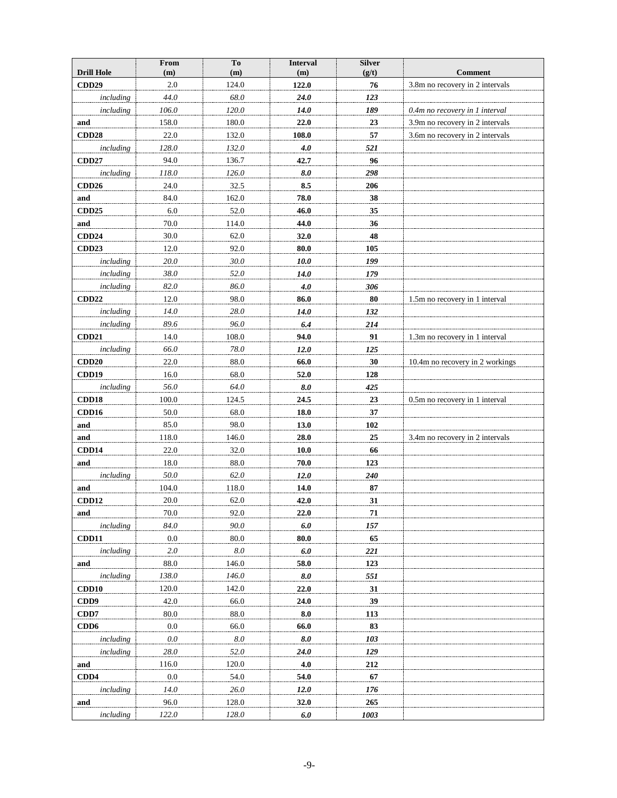|                                   | From       | To           | <b>Interval</b> | <b>Silver</b> |                                                   |
|-----------------------------------|------------|--------------|-----------------|---------------|---------------------------------------------------|
| <b>Drill Hole</b><br><b>CDD29</b> | (m)<br>2.0 | (m)<br>124.0 | (m)<br>122.0    | (g/t)<br>76   | <b>Comment</b><br>3.8m no recovery in 2 intervals |
|                                   | 44.0       | 68.0         |                 |               |                                                   |
| including<br>including            | 106.0      | 120.0        | 24.0<br>14.0    | 123<br>189    | 0.4m no recovery in 1 interval                    |
| and                               | 158.0      | 180.0        | 22.0            | 23            | 3.9m no recovery in 2 intervals                   |
| CDD28                             | 22.0       | 132.0        | 108.0           | 57            | 3.6m no recovery in 2 intervals                   |
| including                         | 128.0      | 132.0        | 4.0             | 521           |                                                   |
| <b>CDD27</b>                      | 94.0       | 136.7        | 42.7            | 96            |                                                   |
| including                         | 118.0      | 126.0        | 8.0             | 298           |                                                   |
| CDD <sub>26</sub>                 | 24.0       | 32.5         | 8.5             | 206           |                                                   |
| and                               | 84.0       | 162.0        | 78.0            | 38            |                                                   |
| <b>CDD25</b>                      | 6.0        | 52.0         | 46.0            | 35            |                                                   |
| and                               | 70.0       | 114.0        | 44.0            | 36            |                                                   |
| <b>CDD24</b>                      | 30.0       | 62.0         | 32.0            | 48            |                                                   |
| <b>CDD23</b>                      | 12.0       | 92.0         | 80.0            | 105           |                                                   |
| including                         | 20.0       | 30.0         | 10.0            | 199           |                                                   |
| including                         | 38.0       | 52.0         | 14.0            | 179           |                                                   |
| including                         | 82.0       | 86.0         | 4.0             | 306           |                                                   |
| CDD <sub>22</sub>                 | 12.0       | 98.0         | 86.0            | 80            | 1.5m no recovery in 1 interval                    |
| including                         | 14.0       | 28.0         | 14.0            | 132           |                                                   |
| including                         | 89.6       | 96.0         | 6.4             | 214           |                                                   |
| CDD <sub>21</sub>                 | 14.0       | 108.0        | 94.0            | 91            | 1.3m no recovery in 1 interval                    |
| including                         | 66.0       | 78.0         | 12.0            | 125           |                                                   |
| CDD20                             | 22.0       | 88.0         | 66.0            | 30            | 10.4m no recovery in 2 workings                   |
| CDD19                             | 16.0       | 68.0         | 52.0            | 128           |                                                   |
| including                         | 56.0       | 64.0         | 8.0             | 425           |                                                   |
| CDD18                             | 100.0      | 124.5        | 24.5            | 23            | 0.5m no recovery in 1 interval                    |
| CDD16                             | 50.0       | 68.0         | 18.0            | 37            |                                                   |
| and                               | 85.0       | 98.0         | 13.0            | 102           |                                                   |
| $\mathbf{and}$                    | 118.0      | 146.0        | 28.0            | 25            | 3.4m no recovery in 2 intervals                   |
| CDD14                             | 22.0       | 32.0         | 10.0            | 66            |                                                   |
| and                               | 18.0       | 88.0         | 70.0            | 123           |                                                   |
| including                         | 50.0       | 62.0         | 12.0            | 240           |                                                   |
| and                               | 104.0      | 118.0        | 14.0            | 87            |                                                   |
| <b>CDD12</b>                      | 20.0       | 62.0         | 42.0            | 31            |                                                   |
| and                               | 70.0       | 92.0         | 22.0            | 71            |                                                   |
| including                         | 84.0       | 90.0         | 6.0             | 157           |                                                   |
| <b>CDD11</b>                      | 0.0        | 80.0         | 80.0            | 65            |                                                   |
| including                         | 2.0        | $8.0\,$      | $6.0$           | 221           |                                                   |
| and                               | 88.0       | 146.0        | 58.0            | 123           |                                                   |
| including                         | 138.0      | 146.0        | 8.0             | 551           |                                                   |
| CDD10                             | 120.0      | 142.0        | 22.0            | 31            |                                                   |
| CDD9                              | 42.0       | 66.0         | 24.0            | 39            |                                                   |
| CDD7                              | 80.0       | 88.0         | 8.0             | 113           |                                                   |
| CD <sub>D</sub> 6                 | $0.0\,$    | 66.0         | 66.0            | 83            |                                                   |
| including                         | 0.0        | 8.0          | 8.0             | 103           |                                                   |
| including                         | 28.0       | 52.0         | <b>24.0</b>     | 129           |                                                   |
| and                               | 116.0      | 120.0        | 4.0             | 212           |                                                   |
| CDD4                              | $0.0\,$    | 54.0         | 54.0            | 67            |                                                   |
| including                         | 14.0       | 26.0         | 12.0            | 176           |                                                   |
| and                               | 96.0       | 128.0        | 32.0            | 265           |                                                   |
| including                         | 122.0      | 128.0        | 6.0             | 1003          |                                                   |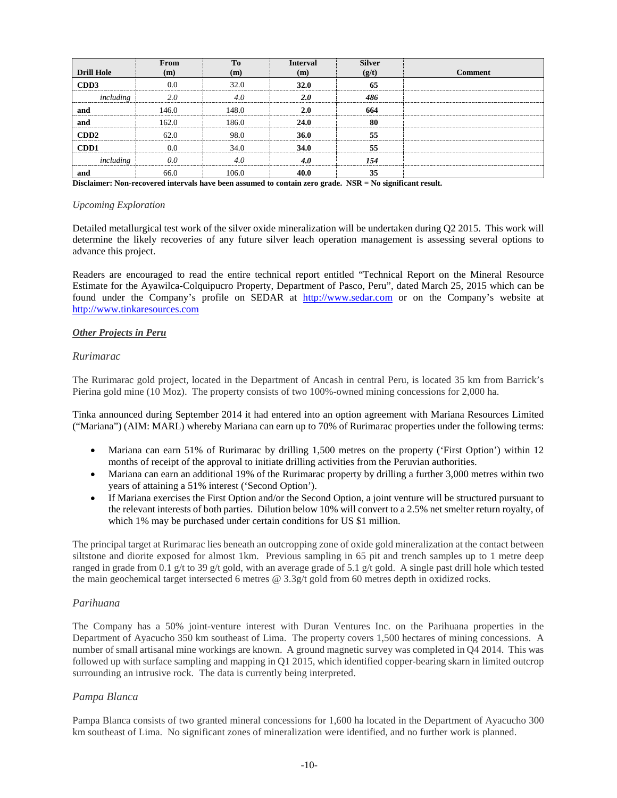|                      | From                       | т.           | Interval | <b>Silver</b> |         |
|----------------------|----------------------------|--------------|----------|---------------|---------|
| <b>Drill Hole</b>    | m                          | $\mathbf{m}$ | m        |               | Comment |
| CDD3                 |                            |              | 32 1     |               |         |
|                      |                            |              |          | 481           |         |
| ano                  |                            | 148.0        |          | 664           |         |
| and                  | 162 O                      | 186.0        |          |               |         |
| CDD <sub>2</sub><br> |                            |              | 36.0     |               |         |
| CD <sub>D</sub> 1    |                            | 34 (         | 34.0     |               |         |
| ıncl                 | -------------------------- |              |          |               |         |
| and                  | 66.0                       | 106.0        |          |               |         |

**Disclaimer: Non-recovered intervals have been assumed to contain zero grade. NSR = No significant result.**

## *Upcoming Exploration*

Detailed metallurgical test work of the silver oxide mineralization will be undertaken during Q2 2015. This work will determine the likely recoveries of any future silver leach operation management is assessing several options to advance this project.

Readers are encouraged to read the entire technical report entitled "Technical Report on the Mineral Resource Estimate for the Ayawilca-Colquipucro Property, Department of Pasco, Peru", dated March 25, 2015 which can be found under the Company's profile on SEDAR at [http://www.sedar.com](http://www.sedar.com/) or on the Company's website at [http://www.tinkaresources.com](http://www.tinkaresources.com/)

# *Other Projects in Peru*

## *Rurimarac*

The Rurimarac gold project, located in the Department of Ancash in central Peru, is located 35 km from Barrick's Pierina gold mine (10 Moz). The property consists of two 100%-owned mining concessions for 2,000 ha.

Tinka announced during September 2014 it had entered into an option agreement with Mariana Resources Limited ("Mariana") (AIM: MARL) whereby Mariana can earn up to 70% of Rurimarac properties under the following terms:

- Mariana can earn 51% of Rurimarac by drilling 1,500 metres on the property ('First Option') within 12 months of receipt of the approval to initiate drilling activities from the Peruvian authorities.
- Mariana can earn an additional 19% of the Rurimarac property by drilling a further 3,000 metres within two years of attaining a 51% interest ('Second Option').
- If Mariana exercises the First Option and/or the Second Option, a joint venture will be structured pursuant to the relevant interests of both parties. Dilution below 10% will convert to a 2.5% net smelter return royalty, of which 1% may be purchased under certain conditions for US \$1 million.

The principal target at Rurimarac lies beneath an outcropping zone of oxide gold mineralization at the contact between siltstone and diorite exposed for almost 1km. Previous sampling in 65 pit and trench samples up to 1 metre deep ranged in grade from 0.1 g/t to 39 g/t gold, with an average grade of 5.1 g/t gold. A single past drill hole which tested the main geochemical target intersected 6 metres @ 3.3g/t gold from 60 metres depth in oxidized rocks.

# *Parihuana*

The Company has a 50% joint-venture interest with Duran Ventures Inc. on the Parihuana properties in the Department of Ayacucho 350 km southeast of Lima. The property covers 1,500 hectares of mining concessions. A number of small artisanal mine workings are known. A ground magnetic survey was completed in Q4 2014. This was followed up with surface sampling and mapping in Q1 2015, which identified copper-bearing skarn in limited outcrop surrounding an intrusive rock. The data is currently being interpreted.

# *Pampa Blanca*

Pampa Blanca consists of two granted mineral concessions for 1,600 ha located in the Department of Ayacucho 300 km southeast of Lima. No significant zones of mineralization were identified, and no further work is planned.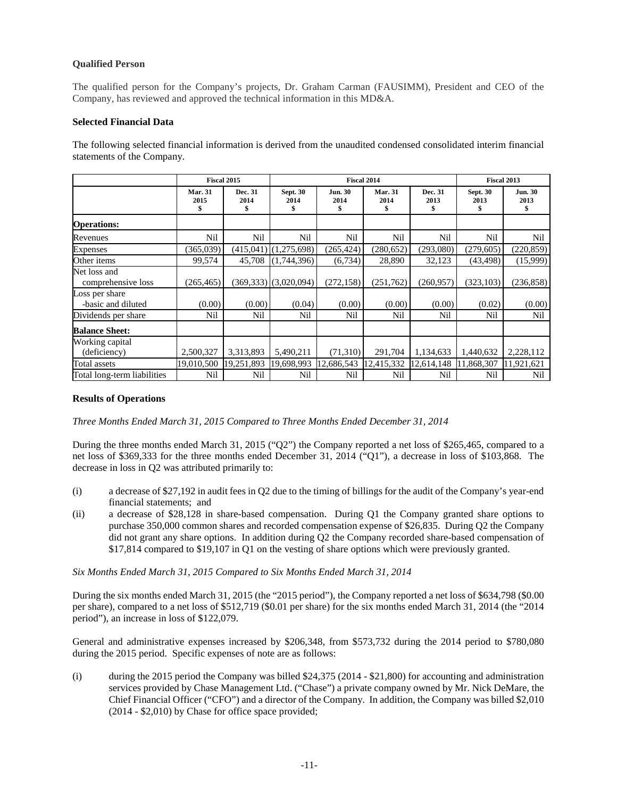# **Qualified Person**

The qualified person for the Company's projects, Dr. Graham Carman (FAUSIMM), President and CEO of the Company, has reviewed and approved the technical information in this MD&A.

# **Selected Financial Data**

The following selected financial information is derived from the unaudited condensed consolidated interim financial statements of the Company.

|                                      |                              | Fiscal 2015           |                           |                              | <b>Fiscal 2014</b>           |                       | <b>Fiscal 2013</b>           |                             |
|--------------------------------------|------------------------------|-----------------------|---------------------------|------------------------------|------------------------------|-----------------------|------------------------------|-----------------------------|
|                                      | <b>Mar. 31</b><br>2015<br>\$ | Dec. 31<br>2014<br>\$ | <b>Sept. 30</b><br>2014   | <b>Jun. 30</b><br>2014<br>\$ | <b>Mar. 31</b><br>2014<br>\$ | Dec. 31<br>2013<br>\$ | <b>Sept. 30</b><br>2013<br>S | <b>Jun. 30</b><br>2013<br>S |
| <b>Operations:</b>                   |                              |                       |                           |                              |                              |                       |                              |                             |
| Revenues                             | Nil                          | Nil                   | Nil                       | Nil                          | Nil                          | Nil                   | Nil                          | Nil                         |
| <b>Expenses</b>                      | (365,039)                    |                       | $(415,041)$ $(1,275,698)$ | (265, 424)                   | (280, 652)                   | (293,080)             | (279, 605)                   | (220, 859)                  |
| Other items                          | 99,574                       | 45.708                | (1,744,396)               | (6,734)                      | 28,890                       | 32,123                | (43, 498)                    | (15,999)                    |
| Net loss and<br>comprehensive loss   | (265, 465)                   |                       | $(369,333)$ $(3,020,094)$ | (272, 158)                   | (251,762)                    | (260, 957)            | (323, 103)                   | (236, 858)                  |
| Loss per share<br>-basic and diluted | (0.00)                       | (0.00)                | (0.04)                    | (0.00)                       | (0.00)                       | (0.00)                | (0.02)                       | (0.00)                      |
| Dividends per share                  | Nil                          | Nil                   | Nil                       | Nil                          | Nil                          | Nil                   | Nil                          | Nil                         |
| <b>Balance Sheet:</b>                |                              |                       |                           |                              |                              |                       |                              |                             |
| Working capital<br>(deficiency)      | 2,500,327                    | 3,313,893             | 5,490,211                 | (71,310)                     | 291,704                      | 1,134,633             | 1,440,632                    | 2,228,112                   |
| Total assets                         | 19,010,500                   | 19,251,893            | 19,698,993                | 12,686,543                   | 12,415,332                   | 12,614,148            | 11,868,307                   | 11,921,621                  |
| Total long-term liabilities          | Nil                          | Nil                   | Nil                       | Nil                          | Nil                          | Nil                   | Nil                          | Nil                         |

#### **Results of Operations**

*Three Months Ended March 31, 2015 Compared to Three Months Ended December 31, 2014*

During the three months ended March 31, 2015 ("Q2") the Company reported a net loss of \$265,465, compared to a net loss of \$369,333 for the three months ended December 31, 2014 ("Q1"), a decrease in loss of \$103,868. The decrease in loss in Q2 was attributed primarily to:

- (i) a decrease of \$27,192 in audit fees in Q2 due to the timing of billings for the audit of the Company's year-end financial statements; and
- (ii) a decrease of \$28,128 in share-based compensation. During Q1 the Company granted share options to purchase 350,000 common shares and recorded compensation expense of \$26,835. During Q2 the Company did not grant any share options. In addition during Q2 the Company recorded share-based compensation of \$17,814 compared to \$19,107 in Q1 on the vesting of share options which were previously granted.

*Six Months Ended March 31, 2015 Compared to Six Months Ended March 31, 2014*

During the six months ended March 31, 2015 (the "2015 period"), the Company reported a net loss of \$634,798 (\$0.00 per share), compared to a net loss of \$512,719 (\$0.01 per share) for the six months ended March 31, 2014 (the "2014 period"), an increase in loss of \$122,079.

General and administrative expenses increased by \$206,348, from \$573,732 during the 2014 period to \$780,080 during the 2015 period. Specific expenses of note are as follows:

(i) during the 2015 period the Company was billed \$24,375 (2014 - \$21,800) for accounting and administration services provided by Chase Management Ltd. ("Chase") a private company owned by Mr. Nick DeMare, the Chief Financial Officer ("CFO") and a director of the Company. In addition, the Company was billed \$2,010 (2014 - \$2,010) by Chase for office space provided;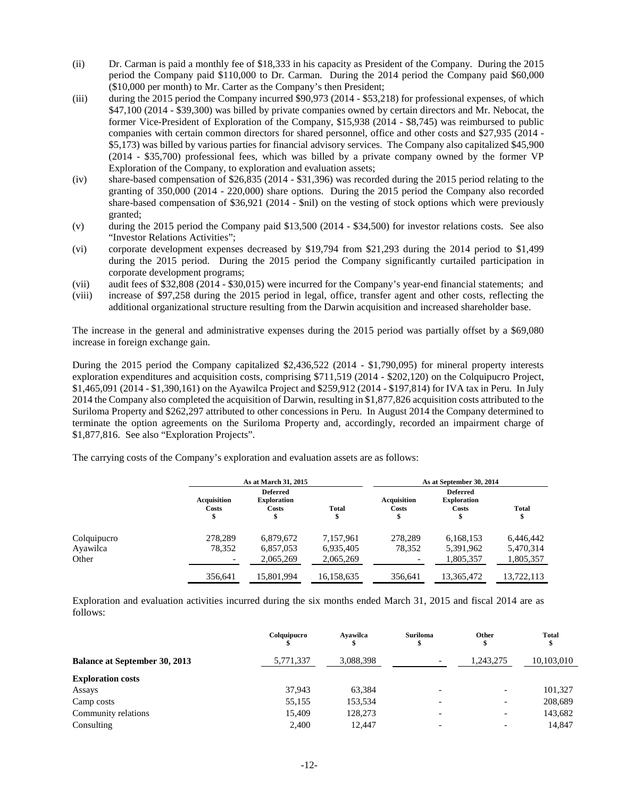- (ii) Dr. Carman is paid a monthly fee of \$18,333 in his capacity as President of the Company. During the 2015 period the Company paid \$110,000 to Dr. Carman. During the 2014 period the Company paid \$60,000 (\$10,000 per month) to Mr. Carter as the Company's then President;
- (iii) during the 2015 period the Company incurred \$90,973 (2014 \$53,218) for professional expenses, of which \$47,100 (2014 - \$39,300) was billed by private companies owned by certain directors and Mr. Nebocat, the former Vice-President of Exploration of the Company, \$15,938 (2014 - \$8,745) was reimbursed to public companies with certain common directors for shared personnel, office and other costs and \$27,935 (2014 - \$5,173) was billed by various parties for financial advisory services. The Company also capitalized \$45,900 (2014 - \$35,700) professional fees, which was billed by a private company owned by the former VP Exploration of the Company, to exploration and evaluation assets;
- (iv) share-based compensation of \$26,835 (2014 \$31,396) was recorded during the 2015 period relating to the granting of 350,000 (2014 - 220,000) share options. During the 2015 period the Company also recorded share-based compensation of \$36,921 (2014 - \$nil) on the vesting of stock options which were previously granted;
- (v) during the 2015 period the Company paid \$13,500 (2014 \$34,500) for investor relations costs. See also "Investor Relations Activities";
- (vi) corporate development expenses decreased by \$19,794 from \$21,293 during the 2014 period to \$1,499 during the 2015 period. During the 2015 period the Company significantly curtailed participation in corporate development programs;
- (vii) audit fees of \$32,808 (2014 \$30,015) were incurred for the Company's year-end financial statements; and
- (viii) increase of \$97,258 during the 2015 period in legal, office, transfer agent and other costs, reflecting the additional organizational structure resulting from the Darwin acquisition and increased shareholder base.

The increase in the general and administrative expenses during the 2015 period was partially offset by a \$69,080 increase in foreign exchange gain.

During the 2015 period the Company capitalized \$2,436,522 (2014 - \$1,790,095) for mineral property interests exploration expenditures and acquisition costs, comprising \$711,519 (2014 - \$202,120) on the Colquipucro Project, \$1,465,091 (2014 - \$1,390,161) on the Ayawilca Project and \$259,912 (2014 - \$197,814) for IVA tax in Peru. In July 2014 the Company also completed the acquisition of Darwin, resulting in \$1,877,826 acquisition costs attributed to the Suriloma Property and \$262,297 attributed to other concessions in Peru. In August 2014 the Company determined to terminate the option agreements on the Suriloma Property and, accordingly, recorded an impairment charge of \$1,877,816. See also "Exploration Projects".

The carrying costs of the Company's exploration and evaluation assets are as follows:

|             |                             | As at March 31, 2015                           |                    | As at September 30, 2014 |                                                |                    |  |
|-------------|-----------------------------|------------------------------------------------|--------------------|--------------------------|------------------------------------------------|--------------------|--|
|             | <b>Acquisition</b><br>Costs | <b>Deferred</b><br><b>Exploration</b><br>Costs | <b>Total</b><br>\$ | Acquisition<br>Costs     | <b>Deferred</b><br><b>Exploration</b><br>Costs | <b>Total</b><br>\$ |  |
| Colquipucro | 278.289                     | 6,879,672                                      | 7.157.961          | 278.289                  | 6.168.153                                      | 6,446,442          |  |
| Ayawilca    | 78,352                      | 6,857,053                                      | 6,935,405          | 78,352                   | 5,391,962                                      | 5,470,314          |  |
| Other       |                             | 2,065,269                                      | 2,065,269          | $\overline{\phantom{a}}$ | 1,805,357                                      | 1,805,357          |  |
|             | 356,641                     | 15,801,994                                     | 16,158,635         | 356,641                  | 13,365,472                                     | 13,722,113         |  |

Exploration and evaluation activities incurred during the six months ended March 31, 2015 and fiscal 2014 are as follows:

|                                      | Colquipucro | Avawilca  | <b>Suriloma</b><br>\$    | Other<br>Œ               | <b>Total</b> |
|--------------------------------------|-------------|-----------|--------------------------|--------------------------|--------------|
| <b>Balance at September 30, 2013</b> | 5,771,337   | 3,088,398 | $\overline{\phantom{0}}$ | 1,243,275                | 10,103,010   |
| <b>Exploration costs</b>             |             |           |                          |                          |              |
| Assays                               | 37.943      | 63,384    |                          | $\overline{\phantom{a}}$ | 101,327      |
| Camp costs                           | 55,155      | 153,534   |                          | $\overline{\phantom{0}}$ | 208,689      |
| Community relations                  | 15.409      | 128,273   |                          | $\overline{\phantom{a}}$ | 143,682      |
| Consulting                           | 2.400       | 12.447    |                          | $\overline{\phantom{a}}$ | 14,847       |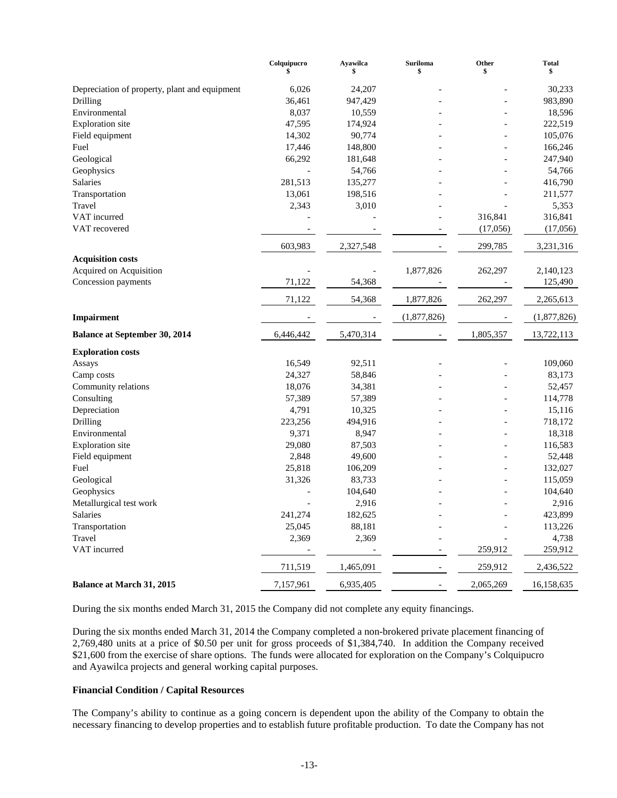|                                               | Colquipucro<br>\$        | Ayawilca  | <b>Suriloma</b><br>\$ | Other<br>\$ | <b>Total</b><br>\$ |
|-----------------------------------------------|--------------------------|-----------|-----------------------|-------------|--------------------|
| Depreciation of property, plant and equipment | 6,026                    | 24,207    |                       |             | 30,233             |
| Drilling                                      | 36,461                   | 947,429   |                       |             | 983,890            |
| Environmental                                 | 8,037                    | 10,559    |                       |             | 18,596             |
| <b>Exploration</b> site                       | 47,595                   | 174,924   |                       |             | 222,519            |
| Field equipment                               | 14,302                   | 90,774    |                       |             | 105,076            |
| Fuel                                          | 17,446                   | 148,800   |                       |             | 166,246            |
| Geological                                    | 66,292                   | 181,648   |                       |             | 247,940            |
| Geophysics                                    | $\overline{a}$           | 54,766    |                       |             | 54,766             |
| <b>Salaries</b>                               | 281,513                  | 135,277   |                       |             | 416,790            |
| Transportation                                | 13,061                   | 198,516   |                       |             | 211,577            |
| Travel                                        | 2,343                    | 3,010     |                       |             | 5,353              |
| VAT incurred                                  |                          |           |                       | 316,841     | 316,841            |
| VAT recovered                                 |                          |           |                       | (17,056)    | (17,056)           |
|                                               | 603,983                  | 2,327,548 |                       | 299,785     | 3,231,316          |
| <b>Acquisition costs</b>                      |                          |           |                       |             |                    |
| Acquired on Acquisition                       |                          |           | 1,877,826             | 262,297     | 2,140,123          |
| Concession payments                           | 71,122                   | 54,368    |                       |             | 125,490            |
|                                               | 71,122                   | 54,368    | 1,877,826             | 262,297     | 2,265,613          |
| <b>Impairment</b>                             |                          |           | (1,877,826)           |             | (1,877,826)        |
| <b>Balance at September 30, 2014</b>          | 6,446,442                | 5,470,314 |                       | 1,805,357   | 13,722,113         |
| <b>Exploration costs</b>                      |                          |           |                       |             |                    |
| Assays                                        | 16,549                   | 92,511    |                       |             | 109,060            |
| Camp costs                                    | 24,327                   | 58,846    |                       |             | 83,173             |
| Community relations                           | 18,076                   | 34,381    |                       |             | 52,457             |
| Consulting                                    | 57,389                   | 57,389    |                       |             | 114,778            |
| Depreciation                                  | 4,791                    | 10,325    |                       |             | 15,116             |
| Drilling                                      | 223,256                  | 494,916   |                       |             | 718,172            |
| Environmental                                 | 9,371                    | 8,947     |                       |             | 18,318             |
| <b>Exploration</b> site                       | 29,080                   | 87,503    |                       |             | 116,583            |
| Field equipment                               | 2,848                    | 49,600    |                       |             | 52,448             |
| Fuel                                          | 25,818                   | 106,209   |                       |             | 132,027            |
| Geological                                    | 31,326                   | 83,733    |                       |             | 115,059            |
| Geophysics                                    |                          | 104,640   |                       |             | 104,640            |
| Metallurgical test work                       |                          | 2,916     |                       |             | 2,916              |
| Salaries                                      | 241,274                  | 182,625   |                       |             | 423,899            |
| Transportation                                | 25,045                   | 88,181    |                       |             | 113,226            |
| Travel                                        | 2,369                    | 2,369     |                       |             | 4,738              |
| VAT incurred                                  | $\overline{\phantom{a}}$ |           |                       | 259,912     | 259,912            |
|                                               | 711,519                  | 1,465,091 |                       | 259,912     | 2,436,522          |
| <b>Balance at March 31, 2015</b>              | 7,157,961                | 6,935,405 |                       | 2,065,269   | 16,158,635         |

During the six months ended March 31, 2015 the Company did not complete any equity financings.

During the six months ended March 31, 2014 the Company completed a non-brokered private placement financing of 2,769,480 units at a price of \$0.50 per unit for gross proceeds of \$1,384,740. In addition the Company received \$21,600 from the exercise of share options. The funds were allocated for exploration on the Company's Colquipucro and Ayawilca projects and general working capital purposes.

## **Financial Condition / Capital Resources**

The Company's ability to continue as a going concern is dependent upon the ability of the Company to obtain the necessary financing to develop properties and to establish future profitable production. To date the Company has not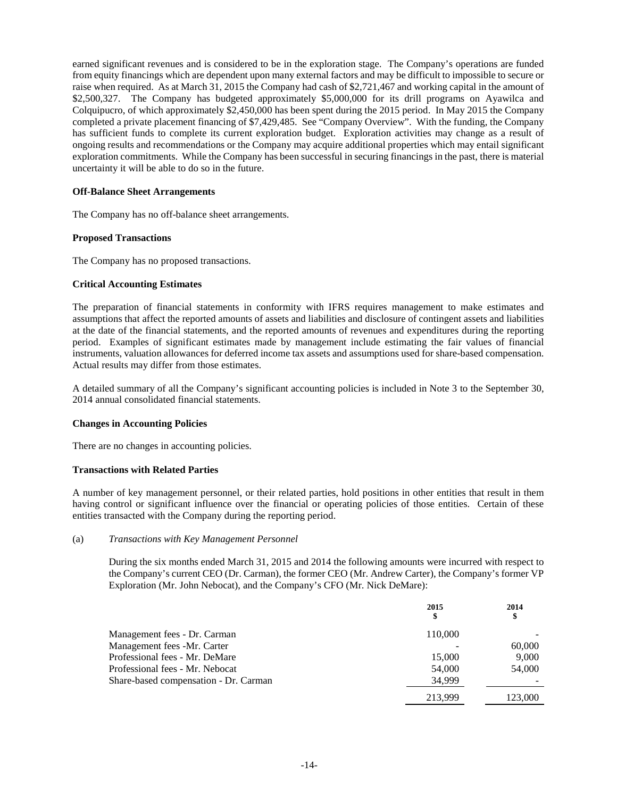earned significant revenues and is considered to be in the exploration stage. The Company's operations are funded from equity financings which are dependent upon many external factors and may be difficult to impossible to secure or raise when required. As at March 31, 2015 the Company had cash of \$2,721,467 and working capital in the amount of \$2,500,327. The Company has budgeted approximately \$5,000,000 for its drill programs on Ayawilca and Colquipucro, of which approximately \$2,450,000 has been spent during the 2015 period. In May 2015 the Company completed a private placement financing of \$7,429,485. See "Company Overview". With the funding, the Company has sufficient funds to complete its current exploration budget. Exploration activities may change as a result of ongoing results and recommendations or the Company may acquire additional properties which may entail significant exploration commitments. While the Company has been successful in securing financings in the past, there is material uncertainty it will be able to do so in the future.

# **Off-Balance Sheet Arrangements**

The Company has no off-balance sheet arrangements.

## **Proposed Transactions**

The Company has no proposed transactions.

## **Critical Accounting Estimates**

The preparation of financial statements in conformity with IFRS requires management to make estimates and assumptions that affect the reported amounts of assets and liabilities and disclosure of contingent assets and liabilities at the date of the financial statements, and the reported amounts of revenues and expenditures during the reporting period. Examples of significant estimates made by management include estimating the fair values of financial instruments, valuation allowances for deferred income tax assets and assumptions used for share-based compensation. Actual results may differ from those estimates.

A detailed summary of all the Company's significant accounting policies is included in Note 3 to the September 30, 2014 annual consolidated financial statements.

#### **Changes in Accounting Policies**

There are no changes in accounting policies.

#### **Transactions with Related Parties**

A number of key management personnel, or their related parties, hold positions in other entities that result in them having control or significant influence over the financial or operating policies of those entities. Certain of these entities transacted with the Company during the reporting period.

#### (a) *Transactions with Key Management Personnel*

During the six months ended March 31, 2015 and 2014 the following amounts were incurred with respect to the Company's current CEO (Dr. Carman), the former CEO (Mr. Andrew Carter), the Company's former VP Exploration (Mr. John Nebocat), and the Company's CFO (Mr. Nick DeMare):

|                                       | 2015<br>\$ | 2014<br>\$ |
|---------------------------------------|------------|------------|
| Management fees - Dr. Carman          | 110,000    |            |
| Management fees -Mr. Carter           |            | 60,000     |
| Professional fees - Mr. DeMare        | 15,000     | 9,000      |
| Professional fees - Mr. Nebocat       | 54,000     | 54,000     |
| Share-based compensation - Dr. Carman | 34,999     |            |
|                                       | 213.999    | 123.000    |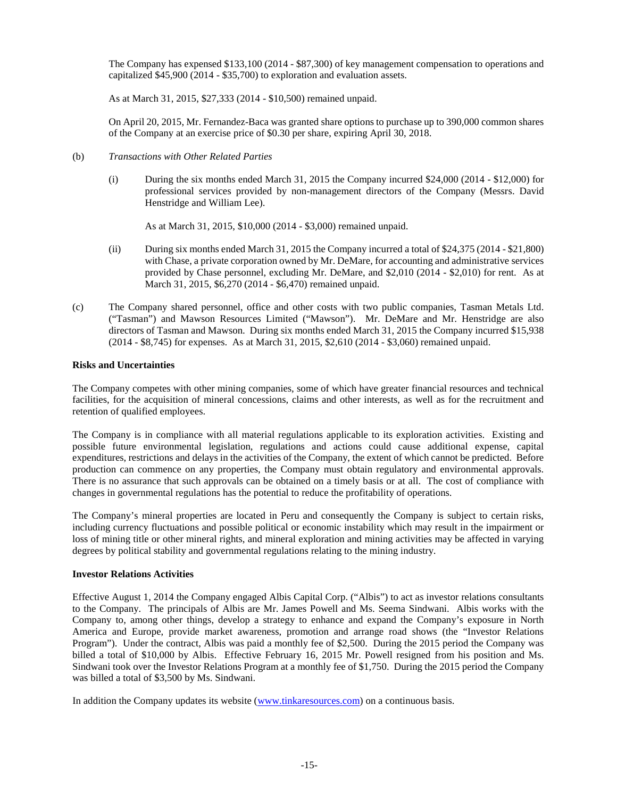The Company has expensed \$133,100 (2014 - \$87,300) of key management compensation to operations and capitalized \$45,900 (2014 - \$35,700) to exploration and evaluation assets.

As at March 31, 2015, \$27,333 (2014 - \$10,500) remained unpaid.

On April 20, 2015, Mr. Fernandez-Baca was granted share options to purchase up to 390,000 common shares of the Company at an exercise price of \$0.30 per share, expiring April 30, 2018.

## (b) *Transactions with Other Related Parties*

(i) During the six months ended March 31, 2015 the Company incurred \$24,000 (2014 - \$12,000) for professional services provided by non-management directors of the Company (Messrs. David Henstridge and William Lee).

As at March 31, 2015, \$10,000 (2014 - \$3,000) remained unpaid.

- (ii) During six months ended March 31, 2015 the Company incurred a total of \$24,375 (2014 \$21,800) with Chase, a private corporation owned by Mr. DeMare, for accounting and administrative services provided by Chase personnel, excluding Mr. DeMare, and \$2,010 (2014 - \$2,010) for rent. As at March 31, 2015, \$6,270 (2014 - \$6,470) remained unpaid.
- (c) The Company shared personnel, office and other costs with two public companies, Tasman Metals Ltd. ("Tasman") and Mawson Resources Limited ("Mawson"). Mr. DeMare and Mr. Henstridge are also directors of Tasman and Mawson. During six months ended March 31, 2015 the Company incurred \$15,938 (2014 - \$8,745) for expenses. As at March 31, 2015, \$2,610 (2014 - \$3,060) remained unpaid.

# **Risks and Uncertainties**

The Company competes with other mining companies, some of which have greater financial resources and technical facilities, for the acquisition of mineral concessions, claims and other interests, as well as for the recruitment and retention of qualified employees.

The Company is in compliance with all material regulations applicable to its exploration activities. Existing and possible future environmental legislation, regulations and actions could cause additional expense, capital expenditures, restrictions and delays in the activities of the Company, the extent of which cannot be predicted. Before production can commence on any properties, the Company must obtain regulatory and environmental approvals. There is no assurance that such approvals can be obtained on a timely basis or at all. The cost of compliance with changes in governmental regulations has the potential to reduce the profitability of operations.

The Company's mineral properties are located in Peru and consequently the Company is subject to certain risks, including currency fluctuations and possible political or economic instability which may result in the impairment or loss of mining title or other mineral rights, and mineral exploration and mining activities may be affected in varying degrees by political stability and governmental regulations relating to the mining industry.

#### **Investor Relations Activities**

Effective August 1, 2014 the Company engaged Albis Capital Corp. ("Albis") to act as investor relations consultants to the Company. The principals of Albis are Mr. James Powell and Ms. Seema Sindwani. Albis works with the Company to, among other things, develop a strategy to enhance and expand the Company's exposure in North America and Europe, provide market awareness, promotion and arrange road shows (the "Investor Relations Program"). Under the contract, Albis was paid a monthly fee of \$2,500. During the 2015 period the Company was billed a total of \$10,000 by Albis. Effective February 16, 2015 Mr. Powell resigned from his position and Ms. Sindwani took over the Investor Relations Program at a monthly fee of \$1,750. During the 2015 period the Company was billed a total of \$3,500 by Ms. Sindwani.

In addition the Company updates its website (www.tinkaresources.com) on a continuous basis.